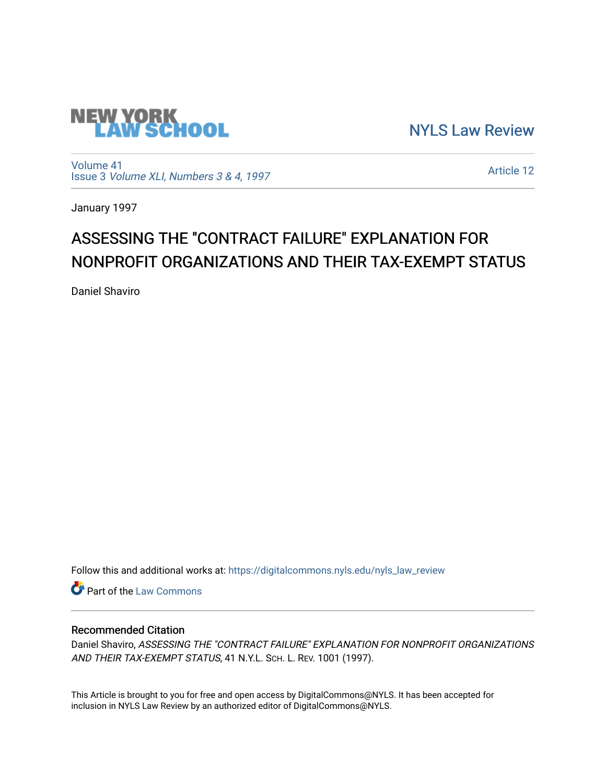

[NYLS Law Review](https://digitalcommons.nyls.edu/nyls_law_review) 

[Volume 41](https://digitalcommons.nyls.edu/nyls_law_review/vol41) Issue 3 [Volume XLI, Numbers 3 & 4, 1997](https://digitalcommons.nyls.edu/nyls_law_review/vol41/iss3)

[Article 12](https://digitalcommons.nyls.edu/nyls_law_review/vol41/iss3/12) 

January 1997

# ASSESSING THE "CONTRACT FAILURE" EXPLANATION FOR NONPROFIT ORGANIZATIONS AND THEIR TAX-EXEMPT STATUS

Daniel Shaviro

Follow this and additional works at: [https://digitalcommons.nyls.edu/nyls\\_law\\_review](https://digitalcommons.nyls.edu/nyls_law_review?utm_source=digitalcommons.nyls.edu%2Fnyls_law_review%2Fvol41%2Fiss3%2F12&utm_medium=PDF&utm_campaign=PDFCoverPages) 

**Part of the [Law Commons](https://network.bepress.com/hgg/discipline/578?utm_source=digitalcommons.nyls.edu%2Fnyls_law_review%2Fvol41%2Fiss3%2F12&utm_medium=PDF&utm_campaign=PDFCoverPages)** 

## Recommended Citation

Daniel Shaviro, ASSESSING THE "CONTRACT FAILURE" EXPLANATION FOR NONPROFIT ORGANIZATIONS AND THEIR TAX-EXEMPT STATUS, 41 N.Y.L. SCH. L. REV. 1001 (1997).

This Article is brought to you for free and open access by DigitalCommons@NYLS. It has been accepted for inclusion in NYLS Law Review by an authorized editor of DigitalCommons@NYLS.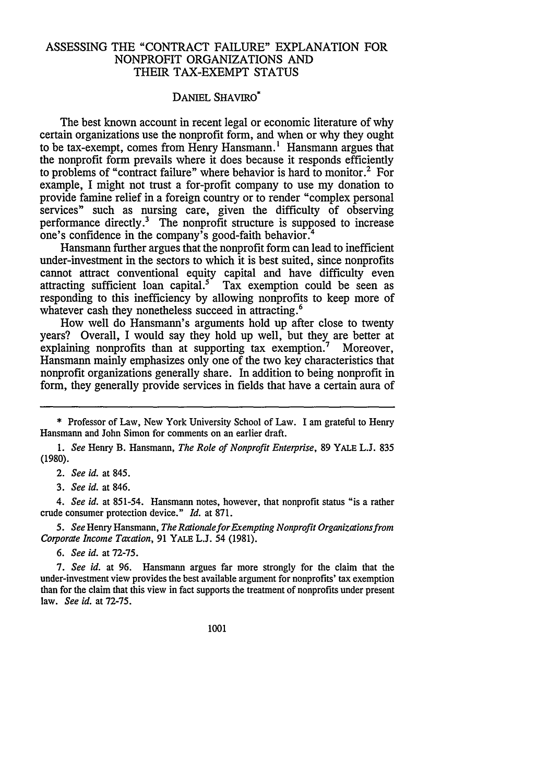### ASSESSING THE "CONTRACT FAILURE" EXPLANATION FOR NONPROFIT ORGANIZATIONS AND THEIR TAX-EXEMPT STATUS

#### DANIEL SHAVIRO\*

The best known account in recent legal or economic literature of why certain organizations use the nonprofit form, and when or why they ought to be tax-exempt, comes from Henry Hansmann.<sup>1</sup> Hansmann argues that the nonprofit form prevails where it does because it responds efficiently to problems of "contract failure" where behavior is hard to monitor.2 For example, I might not trust a for-profit company to use my donation to provide famine relief in a foreign country or to render "complex personal services" such as nursing care, given the difficulty of observing performance directly.<sup>3</sup> The nonprofit structure is supposed to increase one's confidence in the company's good-faith behavior.<sup>4</sup>

Hansmann further argues that the nonprofit form can lead to inefficient under-investment in the sectors to which it is best suited, since nonprofits cannot attract conventional equity capital and have difficulty even attracting sufficient loan capital.<sup>5</sup> Tax exemption could be seen as responding to this inefficiency by allowing nonprofits to keep more of whatever cash they nonetheless succeed in attracting.<sup>6</sup>

How well do Hansmann's arguments hold up after close to twenty years? Overall, I would say they hold up well, but they are better at explaining nonprofits than at supporting tax exemption.<sup>7</sup> Moreover, Hansmann mainly emphasizes only one of the two key characteristics that nonprofit organizations generally share. In addition to being nonprofit in form, they generally provide services in fields that have a certain aura of

*4. See id.* at 851-54. Hansmann notes, however, that nonprofit status "is a rather crude consumer protection device." *Id.* at 871.

*5. See* Henry Hansmann, *The RationaleforExempting Nonprofit Organizations from Corporate Income Tacation,* 91 YALE L.J. 54 (1981).

*6. See id.* at 72-75.

*7. See id.* at 96. Hansmann argues far more strongly for the claim that the under-investment view provides the best available argument for nonprofits' tax exemption than for the claim that this view in fact supports the treatment of nonprofits under present law. *See id.* at 72-75.

1001

<sup>\*</sup> Professor of Law, New York University School of Law. I am grateful to Henry Hansmann and John Simon for comments on an earlier draft.

*<sup>1.</sup> See* Henry B. Hansmann, *The Role of Nonprofit Enterprise,* 89 YALE L.J. 835 (1980).

*<sup>2.</sup> See id.* at 845.

*<sup>3.</sup> See id.* at 846.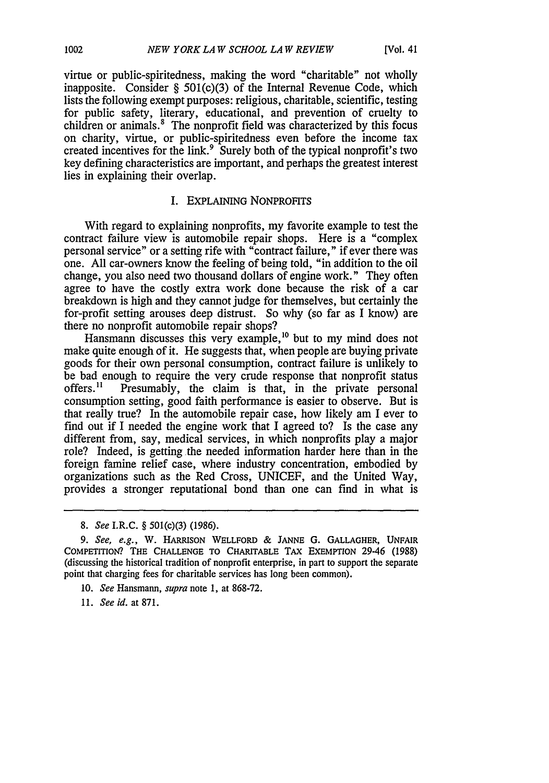virtue or public-spiritedness, making the word "charitable" not wholly inapposite. Consider § 501(c)(3) of the Internal Revenue Code, which lists the following exempt purposes: religious, charitable, scientific, testing for public safety, literary, educational, and prevention of cruelty to children or animals.' The nonprofit field was characterized by this focus on charity, virtue, or public-spiritedness even before the income tax created incentives for the link.<sup>9</sup> Surely both of the typical nonprofit's two key defining characteristics are important, and perhaps the greatest interest lies in explaining their overlap.

#### I. EXPLAINING NONPROFITS

With regard to explaining nonprofits, my favorite example to test the contract failure view is automobile repair shops. Here is a "complex personal service" or a setting rife with "contract failure," if ever there was one. All car-owners know the feeling of being told, "in addition to the oil change, you also need two thousand dollars of engine work." They often agree to have the costly extra work done because the risk of a car breakdown is high and they cannot judge for themselves, but certainly the for-profit setting arouses deep distrust. So why (so far as I know) are there no nonprofit automobile repair shops?

Hansmann discusses this very example,<sup>10</sup> but to my mind does not make quite enough of it. He suggests that, when people are buying private goods for their own personal consumption, contract failure is unlikely to be bad enough to require the very crude response that nonprofit status offers.<sup>11</sup> Presumably, the claim is that, in the private personal Presumably, the claim is that, in the private personal consumption setting, good faith performance is easier to observe. But is that really true? In the automobile repair case, how likely am I ever to find out if I needed the engine work that I agreed to? Is the case any different from, say, medical services, in which nonprofits play a major role? Indeed, is getting the needed information harder here than in the foreign famine relief case, where industry concentration, embodied by organizations such as the Red Cross, UNICEF, and the United Way, provides a stronger reputational bond than one can find in what is

- 10. *See* Hansmann, *supra* note 1, at 868-72.
- *11. See id.* at 871.

*<sup>8.</sup> See* I.R.C. § 501(c)(3) (1986).

*<sup>9.</sup>* See, e.g., **W.** HARRISON WELLFORD & **JANNE G.** GALLAGHER, **UNFAIR** COMPETITION? **THE CHALLENGE** TO CHARITABLE TAX EXEMPTION 29-46 (1988) (discussing the historical tradition of nonprofit enterprise, in part to support the separate point that charging fees for charitable services has long been common).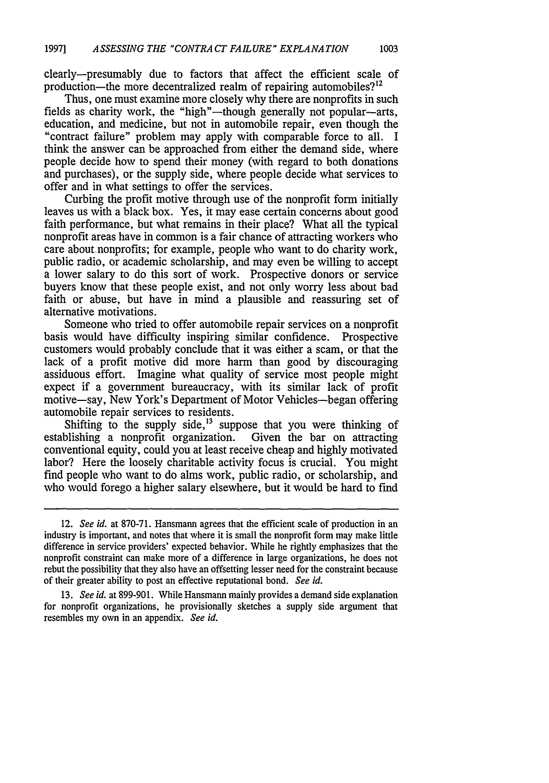clearly-presumably due to factors that affect the efficient scale of production—the more decentralized realm of repairing automobiles? $12$ 

Thus, one must examine more closely why there are nonprofits in such fields as charity work, the "high"—though generally not popular—arts, education, and medicine, but not in automobile repair, even though the "contract failure" problem may apply with comparable force to all. I think the answer can be approached from either the demand side, where people decide how to spend their money (with regard to both donations and purchases), or the supply side, where people decide what services to offer and in what settings to offer the services.

Curbing the profit motive through use of the nonprofit form initially leaves us with a black box. Yes, it may ease certain concerns about good faith performance, but what remains in their place? What all the typical nonprofit areas have in common is a fair chance of attracting workers who care about nonprofits; for example, people who want to do charity work, public radio, or academic scholarship, and may even be willing to accept a lower salary to do this sort of work. Prospective donors or service buyers know that these people exist, and not only worry less about bad faith or abuse, but have in mind a plausible and reassuring set of alternative motivations.

Someone who tried to offer automobile repair services on a nonprofit basis would have difficulty inspiring similar confidence. Prospective customers would probably conclude that it was either a scam, or that the lack of a profit motive did more harm than good by discouraging assiduous effort. Imagine what quality of service most people might expect if a government bureaucracy, with its similar lack of profit motive-say, New York's Department of Motor Vehicles-began offering automobile repair services to residents.

Shifting to the supply side, $\frac{13}{2}$  suppose that you were thinking of establishing a nonprofit organization. Given the bar on attracting conventional equity, could you at least receive cheap and highly motivated labor? Here the loosely charitable activity focus is crucial. You might find people who want to do alms work, public radio, or scholarship, and who would forego a higher salary elsewhere, but it would be hard to find

<sup>12.</sup> *See id.* at 870-71. Hansmann agrees that the efficient scale of production in an industry is important, and notes that where it is small the nonprofit form may make little difference in service providers' expected behavior. While he rightly emphasizes that the nonprofit constraint can make more of a difference in large organizations, he does not rebut the possibility that they also have an offsetting lesser need for the constraint because of their greater ability to post an effective reputational bond. *See id.*

<sup>13.</sup> *See id.* at 899-901. While Hansmann mainly provides a demand side explanation for nonprofit organizations, he provisionally sketches a supply side argument that resembles my own in an appendix. *See id.*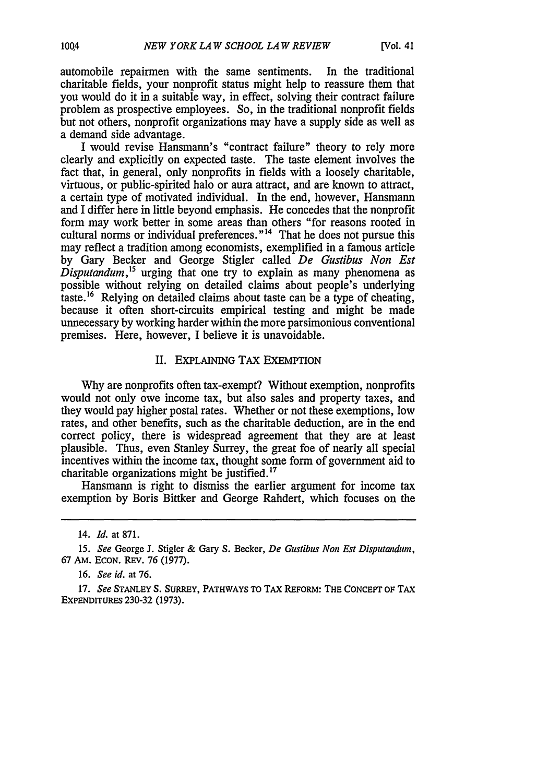automobile repairmen with the same sentiments. In the traditional charitable fields, your nonprofit status might help to reassure them that you would do it in a suitable way, in effect, solving their contract failure problem as prospective employees. So, in the traditional nonprofit fields but not others, nonprofit organizations may have a supply side as well as a demand side advantage.

I would revise Hansmann's "contract failure" theory to rely more clearly and explicitly on expected taste. The taste element involves the fact that, in general, only nonprofits in fields with a loosely charitable, virtuous, or public-spirited halo or aura attract, and are known to attract, a certain type of motivated individual. In the end, however, Hansmann and I differ here in little beyond emphasis. He concedes that the nonprofit form may work better in some areas than others "for reasons rooted in cultural norms or individual preferences."<sup>14</sup> That he does not pursue this may reflect a tradition among economists, exemplified in a famous article by Gary Becker and George Stigler called *De Gustibus Non Est Disputandum,"5* urging that one try to explain as many phenomena as possible without relying on detailed claims about people's underlying taste.<sup>16</sup> Relying on detailed claims about taste can be a type of cheating, because it often short-circuits empirical testing and might be made unnecessary by working harder within the more parsimonious conventional premises. Here, however, I believe it is unavoidable.

#### II. EXPLAINING TAX EXEMPTION

Why are nonprofits often tax-exempt? Without exemption, nonprofits would not only owe income tax, but also sales and property taxes, and they would pay higher postal rates. Whether or not these exemptions, low rates, and other benefits, such as the charitable deduction, are in the end correct policy, there is widespread agreement that they are at least plausible. Thus, even Stanley Surrey, the great foe of nearly all special incentives within the income tax, thought some form of government aid to charitable organizations might be justified.<sup>17</sup>

Hansmann is right to dismiss the earlier argument for income tax exemption by Boris Bittker and George Rahdert, which focuses on the

<sup>14.</sup> *Id.* at 871.

<sup>15.</sup> *See* George **J.** Stigler & Gary S. Becker, *De Gustibus Non Est Disputandum,* **67** AM. **ECON.** REv. 76 (1977).

<sup>16.</sup> *See id.* at 76.

**<sup>17.</sup>** *See* **STANLEY S. SURREY,** PATHWAYS **TO** TAX **REFORM: THE CONCEPT OF** TAX EXPENDITURES **230-32 (1973).**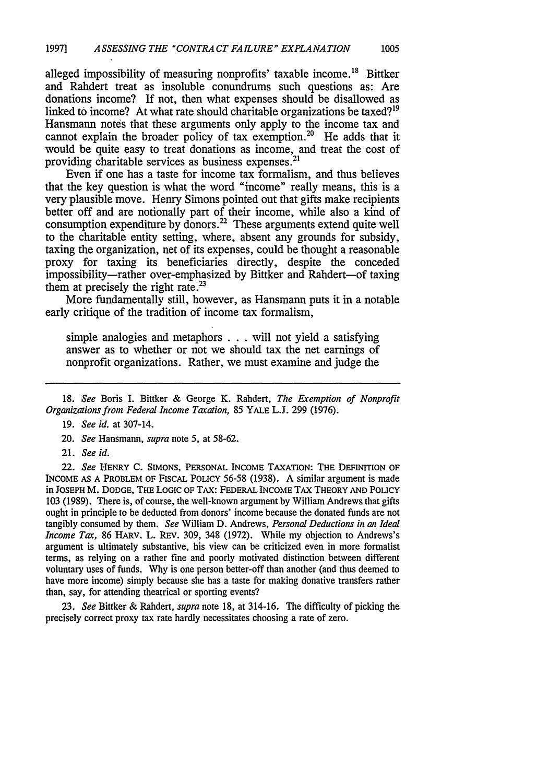alleged impossibility of measuring nonprofits' taxable income.<sup>18</sup> Bittker and Rahdert treat as insoluble conundrums such questions as: Are donations income? If not, then what expenses should be disallowed as linked to income? At what rate should charitable organizations be taxed?<sup>19</sup> Hansmann notes that these arguments only apply to the income tax and cannot explain the broader policy of tax exemption.<sup>20</sup> He adds that it would be quite easy to treat donations as income, and treat the cost of providing charitable services as business expenses.<sup>21</sup>

Even if one has a taste for income tax formalism, and thus believes that the key question is what the word "income" really means, this is a very plausible move. Henry Simons pointed out that gifts make recipients better off and are notionally part of their income, while also a kind of consumption expenditure by donors.<sup>22</sup> These arguments extend quite well to the charitable entity setting, where, absent any grounds for subsidy, taxing the organization, net of its expenses, could be thought a reasonable proxy for taxing its beneficiaries directly, despite the conceded impossibility-rather over-emphasized by Bittker and Rahdert-of taxing them at precisely the right rate.<sup>23</sup>

More fundamentally still, however, as Hansmann puts it in a notable early critique of the tradition of income tax formalism,

simple analogies and metaphors ...will not yield a satisfying answer as to whether or not we should tax the net earnings of nonprofit organizations. Rather, we must examine and judge the

21. *See id.*

22. *See* HENRY C. SIMONS, PERSONAL INCOME TAXATION: THE DEFINITION OF INCOME AS A PROBLEM OF FISCAL POLICY 56-58 (1938). A similar argument is made in JOSEPH M. DODGE, THE LOGIC OF TAX: FEDERAL INCOME TAX THEORY AND POLICY 103 (1989). There is, of course, the well-known argument by William Andrews that gifts ought in principle to be deducted from donors' income because the donated funds are not tangibly consumed by them. *See* William D. Andrews, *Personal Deductions in an Ideal Income Tax,* 86 HARV. L. REV. 309, 348 (1972). While my objection to Andrews's argument is ultimately substantive, his view can be criticized even in more formalist terms, as relying on a rather fine and poorly motivated distinction between different voluntary uses of funds. Why is one person better-off than another (and thus deemed to have more income) simply because she has a taste for making donative transfers rather than, say, for attending theatrical or sporting events?

23. *See* Bittker & Rahdert, *supra* note 18, at 314-16. The difficulty of picking the precisely correct proxy tax rate hardly necessitates choosing a rate of zero.

<sup>18.</sup> *See* Boris I. Bittker & George K. Rahdert, *The Exemption of Nonprofit Organizations from Federal Income Taxation,* 85 YALE L.J. 299 (1976).

<sup>19.</sup> *See id.* at 307-14.

<sup>20.</sup> *See* Hansmann, *supra* note 5, at 58-62.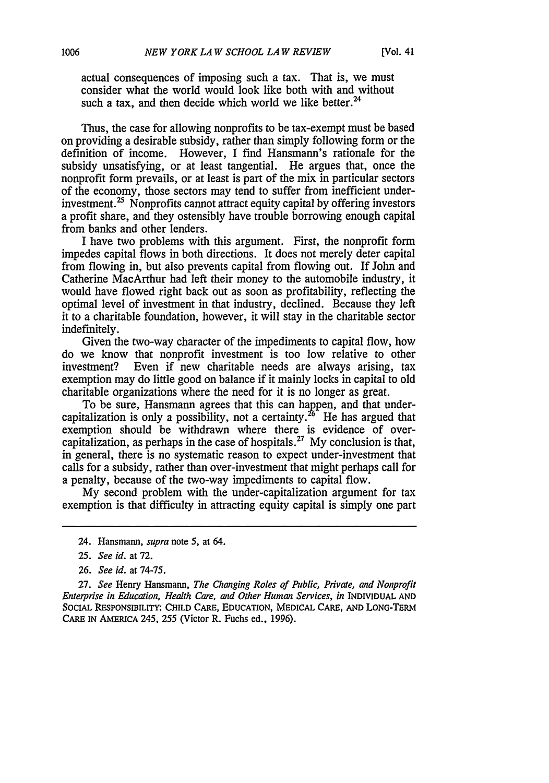actual consequences of imposing such a tax. That is, we must consider what the world would look like both with and without such a tax, and then decide which world we like better.<sup>24</sup>

Thus, the case for allowing nonprofits to be tax-exempt must be based on providing a desirable subsidy, rather than simply following form or the definition of income. However, I find Hansmann's rationale for the subsidy unsatisfying, or at least tangential. He argues that, once the nonprofit form prevails, or at least is part of the mix in particular sectors of the economy, those sectors may tend to suffer from inefficient underinvestment.<sup>25</sup> Nonprofits cannot attract equity capital by offering investors a profit share, and they ostensibly have trouble borrowing enough capital from banks and other lenders.

I have two problems with this argument. First, the nonprofit form impedes capital flows in both directions. It does not merely deter capital from flowing in, but also prevents capital from flowing out. If John and Catherine MacArthur had left their money to the automobile industry, it would have flowed right back out as soon as profitability, reflecting the optimal level of investment in that industry, declined. Because they left it to a charitable foundation, however, it will stay in the charitable sector indefinitely.

Given the two-way character of the impediments to capital flow, how do we know that nonprofit investment is too low relative to other investment? Even if new charitable needs are always arising, tax exemption may do little good on balance if it mainly locks in capital to old charitable organizations where the need for it is no longer as great.

To be sure, Hansmann agrees that this can happen, and that undercapitalization is only a possibility, not a certainty.<sup>26</sup> He has argued that exemption should be withdrawn where there is evidence of overcapitalization, as perhaps in the case of hospitals.<sup>27</sup> My conclusion is that, in general, there is no systematic reason to expect under-investment that calls for a subsidy, rather than over-investment that might perhaps call for a penalty, because of the two-way impediments to capital flow.

My second problem with the under-capitalization argument for tax exemption is that difficulty in attracting equity capital is simply one part

26. *See id.* at **74-75.**

27. *See* Henry Hansmann, *The Changing Roles of Public, Private, and Nonprofit Enterprise in Education, Health Care, and Other Human Services, in* INDIVIDUAL AND SOCIAL RESPONSIBILITY: **CHILD** CARE, EDUCATION, **MEDICAL** CARE, **AND** LONG-TERM CARE **IN** AMERICA 245, **255** (Victor R. Fuchs ed., **1996).**

<sup>24.</sup> Hansmann, *supra* note 5, at 64.

*<sup>25.</sup> See id.* at 72.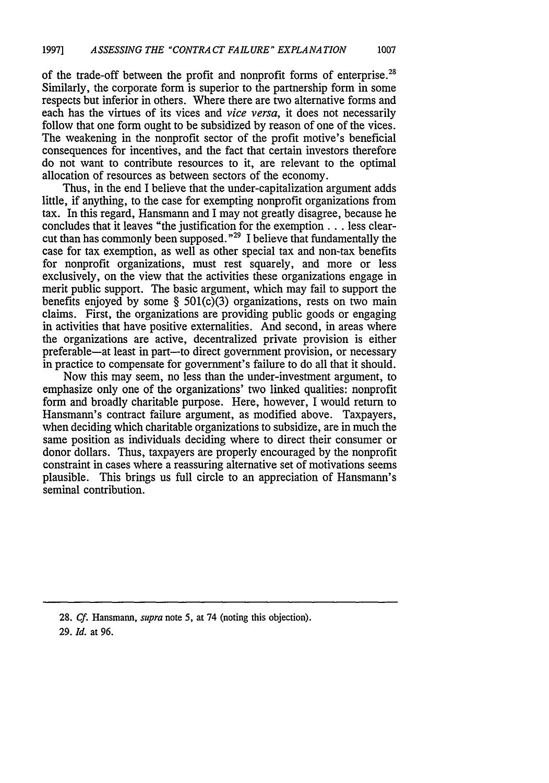of the trade-off between the profit and nonprofit forms of enterprise.<sup>28</sup> Similarly, the corporate form is superior to the partnership form in some respects but inferior in others. Where there are two alternative forms and each has the virtues of its vices and *vice versa,* it does not necessarily follow that one form ought to be subsidized by reason of one of the vices. The weakening in the nonprofit sector of the profit motive's beneficial consequences for incentives, and the fact that certain investors therefore do not want to contribute resources to it, are relevant to the optimal allocation of resources as between sectors of the economy.

Thus, in the end I believe that the under-capitalization argument adds little, if anything, to the case for exempting nonprofit organizations from tax. In this regard, Hansmann and I may not greatly disagree, because he concludes that it leaves "the justification for the exemption **...** less clearcut than has commonly been supposed."29 **I** believe that fundamentally the case for tax exemption, as well as other special tax and non-tax benefits for nonprofit organizations, must rest squarely, and more or less exclusively, on the view that the activities these organizations engage in merit public support. The basic argument, which may fail to support the benefits enjoyed by some  $\S$  501(c)(3) organizations, rests on two main claims. First, the organizations are providing public goods or engaging in activities that have positive externalities. And second, in areas where the organizations are active, decentralized private provision is either preferable-at least in part-to direct government provision, or necessary in practice to compensate for government's failure to do all that it should.

Now this may seem, no less than the under-investment argument, to emphasize only one of the organizations' two linked qualities: nonprofit form and broadly charitable purpose. Here, however, I would return to Hansmann's contract failure argument, as modified above. Taxpayers, when deciding which charitable organizations to subsidize, are in much the same position as individuals deciding where to direct their consumer or donor dollars. Thus, taxpayers are properly encouraged by the nonprofit constraint in cases where a reassuring alternative set of motivations seems plausible. This brings us full circle to an appreciation of Hansmann's seminal contribution.

28. *Cf.* Hansmann, supra note **5,** at 74 (noting this objection). 29. *Id.* at 96.